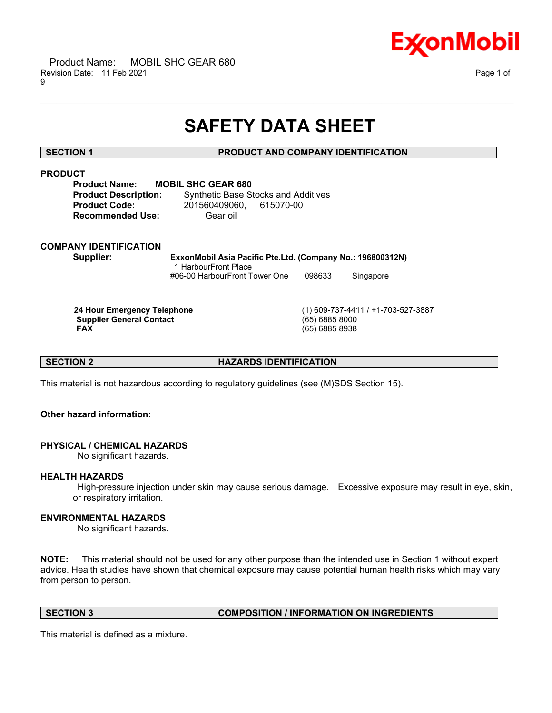

# **SAFETY DATA SHEET**

\_\_\_\_\_\_\_\_\_\_\_\_\_\_\_\_\_\_\_\_\_\_\_\_\_\_\_\_\_\_\_\_\_\_\_\_\_\_\_\_\_\_\_\_\_\_\_\_\_\_\_\_\_\_\_\_\_\_\_\_\_\_\_\_\_\_\_\_\_\_\_\_\_\_\_\_\_\_\_\_\_\_\_\_\_\_\_\_\_\_\_\_\_\_\_\_\_\_\_\_\_\_\_\_\_\_\_\_\_\_\_\_\_\_\_\_\_\_

# **SECTION 1 PRODUCT AND COMPANY IDENTIFICATION**

# **PRODUCT**

**Product Name: MOBIL SHC GEAR 680 Recommended Use:** Gear oil

**Product Description:** Synthetic Base Stocks and Additives **Product Code:** 201560409060, 615070-00

# **COMPANY IDENTIFICATION**

**Supplier: ExxonMobil Asia Pacific Pte.Ltd. (Company No.: 196800312N)** 1 HarbourFront Place #06-00 HarbourFront Tower One 098633 Singapore

**Supplier General Contact FAX** 

 **24 Hour Emergency Telephone** (1) 609-737-4411 / +1-703-527-3887  **FAX** (65) 6885 8938

**SECTION 2 HAZARDS IDENTIFICATION** 

This material is not hazardous according to regulatory guidelines (see (M)SDS Section 15).

# **Other hazard information:**

# **PHYSICAL / CHEMICAL HAZARDS**

No significant hazards.

# **HEALTH HAZARDS**

 High-pressure injection under skin may cause serious damage. Excessive exposure may result in eye, skin, or respiratory irritation.

# **ENVIRONMENTAL HAZARDS**

No significant hazards.

**NOTE:** This material should not be used for any other purpose than the intended use in Section 1 without expert advice. Health studies have shown that chemical exposure may cause potential human health risks which may vary from person to person.

# **SECTION 3 COMPOSITION / INFORMATION ON INGREDIENTS**

This material is defined as a mixture.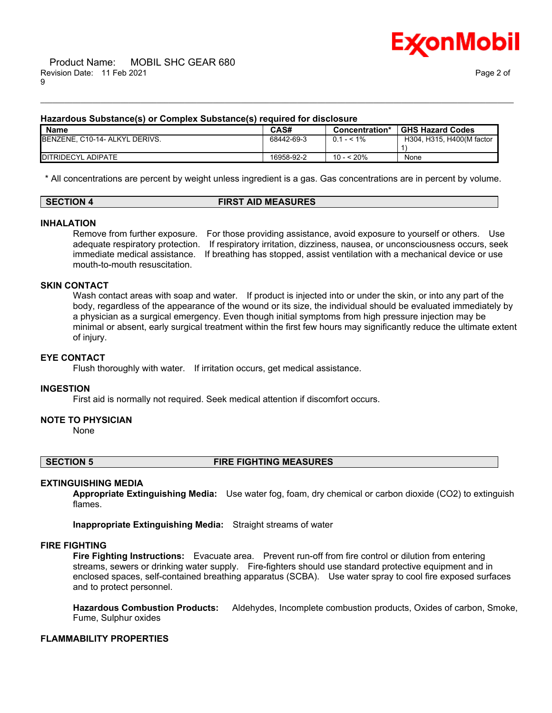

# **Hazardous Substance(s) or Complex Substance(s) required for disclosure**

| <b>Name</b>                    | CAS#       | Concentration* | <b>GHS Hazard Codes</b>   |
|--------------------------------|------------|----------------|---------------------------|
| BENZENE, C10-14- ALKYL DERIVS. | 68442-69-3 | $0.1 - 5.1\%$  | H304, H315, H400(M factor |
|                                |            |                |                           |
| <b>IDITRIDECYL ADIPATE</b>     | 16958-92-2 | 10 - < 20%     | None                      |

\_\_\_\_\_\_\_\_\_\_\_\_\_\_\_\_\_\_\_\_\_\_\_\_\_\_\_\_\_\_\_\_\_\_\_\_\_\_\_\_\_\_\_\_\_\_\_\_\_\_\_\_\_\_\_\_\_\_\_\_\_\_\_\_\_\_\_\_\_\_\_\_\_\_\_\_\_\_\_\_\_\_\_\_\_\_\_\_\_\_\_\_\_\_\_\_\_\_\_\_\_\_\_\_\_\_\_\_\_\_\_\_\_\_\_\_\_\_

\* All concentrations are percent by weight unless ingredient is a gas. Gas concentrations are in percent by volume.

# **SECTION 4 FIRST AID MEASURES**

### **INHALATION**

Remove from further exposure. For those providing assistance, avoid exposure to yourself or others. Use adequate respiratory protection. If respiratory irritation, dizziness, nausea, or unconsciousness occurs, seek immediate medical assistance. If breathing has stopped, assist ventilation with a mechanical device or use mouth-to-mouth resuscitation.

### **SKIN CONTACT**

Wash contact areas with soap and water. If product is injected into or under the skin, or into any part of the body, regardless of the appearance of the wound or its size, the individual should be evaluated immediately by a physician as a surgical emergency. Even though initial symptoms from high pressure injection may be minimal or absent, early surgical treatment within the first few hours may significantly reduce the ultimate extent of injury.

#### **EYE CONTACT**

Flush thoroughly with water. If irritation occurs, get medical assistance.

#### **INGESTION**

First aid is normally not required. Seek medical attention if discomfort occurs.

#### **NOTE TO PHYSICIAN**

None

### **SECTION 5 FIRE FIGHTING MEASURES**

#### **EXTINGUISHING MEDIA**

**Appropriate Extinguishing Media:** Use water fog, foam, dry chemical or carbon dioxide (CO2) to extinguish flames.

**Inappropriate Extinguishing Media:** Straight streams of water

#### **FIRE FIGHTING**

**Fire Fighting Instructions:** Evacuate area. Prevent run-off from fire control or dilution from entering streams, sewers or drinking water supply. Fire-fighters should use standard protective equipment and in enclosed spaces, self-contained breathing apparatus (SCBA). Use water spray to cool fire exposed surfaces and to protect personnel.

**Hazardous Combustion Products:** Aldehydes, Incomplete combustion products, Oxides of carbon, Smoke, Fume, Sulphur oxides

# **FLAMMABILITY PROPERTIES**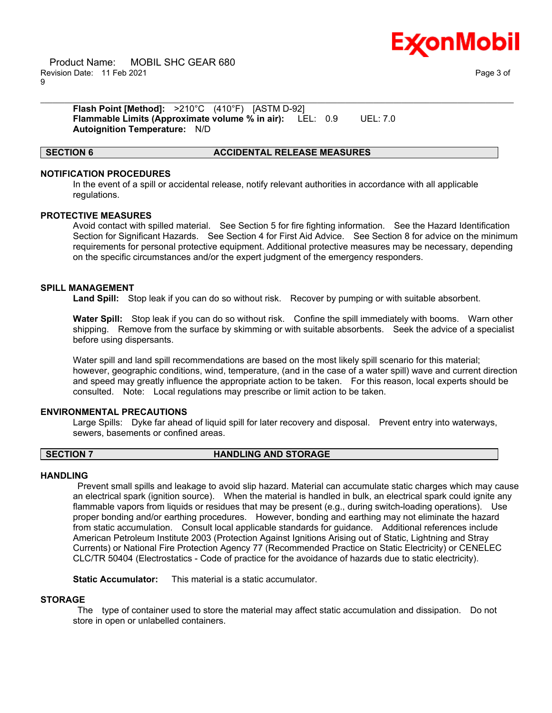

 Product Name: MOBIL SHC GEAR 680 Revision Date: 11 Feb 2021 Page 3 of 9

**Flash Point [Method]:** >210°C (410°F) [ASTM D-92] **Flammable Limits (Approximate volume % in air):** LEL: 0.9 UEL: 7.0 **Autoignition Temperature:** N/D

### **SECTION 6 ACCIDENTAL RELEASE MEASURES**

### **NOTIFICATION PROCEDURES**

In the event of a spill or accidental release, notify relevant authorities in accordance with all applicable regulations.

\_\_\_\_\_\_\_\_\_\_\_\_\_\_\_\_\_\_\_\_\_\_\_\_\_\_\_\_\_\_\_\_\_\_\_\_\_\_\_\_\_\_\_\_\_\_\_\_\_\_\_\_\_\_\_\_\_\_\_\_\_\_\_\_\_\_\_\_\_\_\_\_\_\_\_\_\_\_\_\_\_\_\_\_\_\_\_\_\_\_\_\_\_\_\_\_\_\_\_\_\_\_\_\_\_\_\_\_\_\_\_\_\_\_\_\_\_\_

#### **PROTECTIVE MEASURES**

Avoid contact with spilled material. See Section 5 for fire fighting information. See the Hazard Identification Section for Significant Hazards. See Section 4 for First Aid Advice. See Section 8 for advice on the minimum requirements for personal protective equipment. Additional protective measures may be necessary, depending on the specific circumstances and/or the expert judgment of the emergency responders.

#### **SPILL MANAGEMENT**

**Land Spill:** Stop leak if you can do so without risk. Recover by pumping or with suitable absorbent.

**Water Spill:** Stop leak if you can do so without risk. Confine the spill immediately with booms. Warn other shipping. Remove from the surface by skimming or with suitable absorbents. Seek the advice of a specialist before using dispersants.

Water spill and land spill recommendations are based on the most likely spill scenario for this material; however, geographic conditions, wind, temperature, (and in the case of a water spill) wave and current direction and speed may greatly influence the appropriate action to be taken. For this reason, local experts should be consulted. Note: Local regulations may prescribe or limit action to be taken.

### **ENVIRONMENTAL PRECAUTIONS**

Large Spills: Dyke far ahead of liquid spill for later recovery and disposal. Prevent entry into waterways, sewers, basements or confined areas.

#### **SECTION 7 HANDLING AND STORAGE**

#### **HANDLING**

 Prevent small spills and leakage to avoid slip hazard. Material can accumulate static charges which may cause an electrical spark (ignition source). When the material is handled in bulk, an electrical spark could ignite any flammable vapors from liquids or residues that may be present (e.g., during switch-loading operations). Use proper bonding and/or earthing procedures. However, bonding and earthing may not eliminate the hazard from static accumulation. Consult local applicable standards for guidance. Additional references include American Petroleum Institute 2003 (Protection Against Ignitions Arising out of Static, Lightning and Stray Currents) or National Fire Protection Agency 77 (Recommended Practice on Static Electricity) or CENELEC CLC/TR 50404 (Electrostatics - Code of practice for the avoidance of hazards due to static electricity).

**Static Accumulator:** This material is a static accumulator.

# **STORAGE**

 The type of container used to store the material may affect static accumulation and dissipation. Do not store in open or unlabelled containers.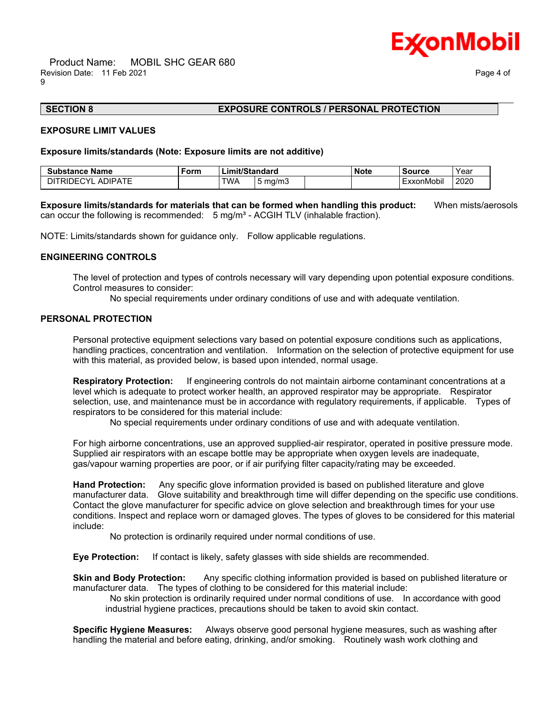

# **SECTION 8 EXPOSURE CONTROLS / PERSONAL PROTECTION**

#### **EXPOSURE LIMIT VALUES**

#### **Exposure limits/standards (Note: Exposure limits are not additive)**

| <b>Substance Name</b>                                           | Form | _imit/Standard |         | Note | <b>Source</b>       | Year |
|-----------------------------------------------------------------|------|----------------|---------|------|---------------------|------|
| $\lambda$ $T$ $T$<br>$\sim$<br><b>DIPA</b> .<br>RШ<br>℩⊢<br>. . |      | <b>TWA</b>     | ma/m3 ו |      | .<br>nMobil<br>$-v$ | 2020 |

\_\_\_\_\_\_\_\_\_\_\_\_\_\_\_\_\_\_\_\_\_\_\_\_\_\_\_\_\_\_\_\_\_\_\_\_\_\_\_\_\_\_\_\_\_\_\_\_\_\_\_\_\_\_\_\_\_\_\_\_\_\_\_\_\_\_\_\_\_\_\_\_\_\_\_\_\_\_\_\_\_\_\_\_\_\_\_\_\_\_\_\_\_\_\_\_\_\_\_\_\_\_\_\_\_\_\_\_\_\_\_\_\_\_\_\_\_\_

**Exposure limits/standards for materials that can be formed when handling this product:** When mists/aerosols can occur the following is recommended:  $5 \text{ mg/m}^3$  - ACGIH TLV (inhalable fraction).

NOTE: Limits/standards shown for guidance only. Follow applicable regulations.

#### **ENGINEERING CONTROLS**

The level of protection and types of controls necessary will vary depending upon potential exposure conditions. Control measures to consider:

No special requirements under ordinary conditions of use and with adequate ventilation.

### **PERSONAL PROTECTION**

Personal protective equipment selections vary based on potential exposure conditions such as applications, handling practices, concentration and ventilation. Information on the selection of protective equipment for use with this material, as provided below, is based upon intended, normal usage.

**Respiratory Protection:** If engineering controls do not maintain airborne contaminant concentrations at a level which is adequate to protect worker health, an approved respirator may be appropriate. Respirator selection, use, and maintenance must be in accordance with regulatory requirements, if applicable. Types of respirators to be considered for this material include:

No special requirements under ordinary conditions of use and with adequate ventilation.

For high airborne concentrations, use an approved supplied-air respirator, operated in positive pressure mode. Supplied air respirators with an escape bottle may be appropriate when oxygen levels are inadequate, gas/vapour warning properties are poor, or if air purifying filter capacity/rating may be exceeded.

**Hand Protection:** Any specific glove information provided is based on published literature and glove manufacturer data. Glove suitability and breakthrough time will differ depending on the specific use conditions. Contact the glove manufacturer for specific advice on glove selection and breakthrough times for your use conditions. Inspect and replace worn or damaged gloves. The types of gloves to be considered for this material include:

No protection is ordinarily required under normal conditions of use.

**Eye Protection:** If contact is likely, safety glasses with side shields are recommended.

**Skin and Body Protection:** Any specific clothing information provided is based on published literature or manufacturer data. The types of clothing to be considered for this material include:

 No skin protection is ordinarily required under normal conditions of use. In accordance with good industrial hygiene practices, precautions should be taken to avoid skin contact.

**Specific Hygiene Measures:** Always observe good personal hygiene measures, such as washing after handling the material and before eating, drinking, and/or smoking. Routinely wash work clothing and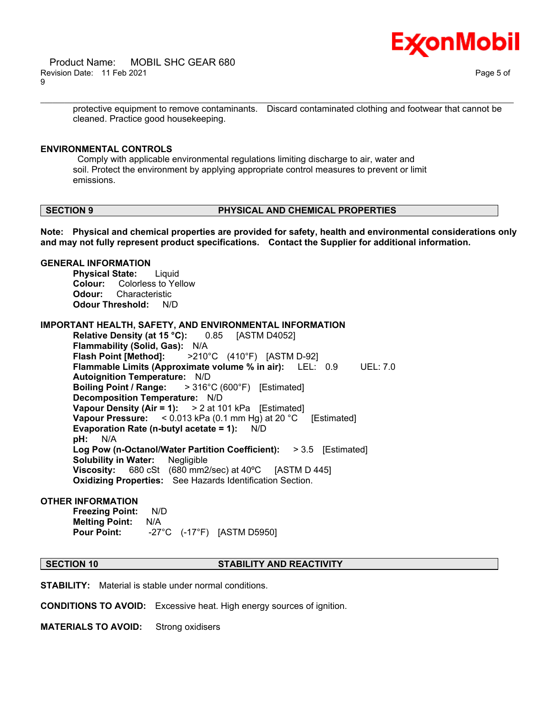

protective equipment to remove contaminants. Discard contaminated clothing and footwear that cannot be cleaned. Practice good housekeeping.

\_\_\_\_\_\_\_\_\_\_\_\_\_\_\_\_\_\_\_\_\_\_\_\_\_\_\_\_\_\_\_\_\_\_\_\_\_\_\_\_\_\_\_\_\_\_\_\_\_\_\_\_\_\_\_\_\_\_\_\_\_\_\_\_\_\_\_\_\_\_\_\_\_\_\_\_\_\_\_\_\_\_\_\_\_\_\_\_\_\_\_\_\_\_\_\_\_\_\_\_\_\_\_\_\_\_\_\_\_\_\_\_\_\_\_\_\_\_

# **ENVIRONMENTAL CONTROLS**

 Comply with applicable environmental regulations limiting discharge to air, water and soil. Protect the environment by applying appropriate control measures to prevent or limit emissions.

# **SECTION 9 PHYSICAL AND CHEMICAL PROPERTIES**

**Note: Physical and chemical properties are provided for safety, health and environmental considerations only and may not fully represent product specifications. Contact the Supplier for additional information.**

## **GENERAL INFORMATION**

**Physical State:** Liquid **Colour:** Colorless to Yellow **Odour:** Characteristic **Odour Threshold:** N/D

**IMPORTANT HEALTH, SAFETY, AND ENVIRONMENTAL INFORMATION**

**Relative Density (at 15 °C):** 0.85 [ASTM D4052] **Flammability (Solid, Gas):** N/A **Flash Point [Method]:** >210°C (410°F) [ASTM D-92] **Flammable Limits (Approximate volume % in air):** LEL: 0.9 UEL: 7.0 **Autoignition Temperature:** N/D **Boiling Point / Range:** > 316°C (600°F) [Estimated] **Decomposition Temperature:** N/D **Vapour Density (Air = 1):** > 2 at 101 kPa [Estimated] **Vapour Pressure:** < 0.013 kPa (0.1 mm Hg) at 20 °C [Estimated] **Evaporation Rate (n-butyl acetate = 1):** N/D **pH:** N/A **Log Pow (n-Octanol/Water Partition Coefficient):** > 3.5 [Estimated] **Solubility in Water:** Negligible **Viscosity:** 680 cSt (680 mm2/sec) at 40ºC [ASTM D 445] **Oxidizing Properties:** See Hazards Identification Section.

# **OTHER INFORMATION**

**Freezing Point:** N/D **Melting Point:** N/A **Pour Point:** -27°C (-17°F) [ASTM D5950]

# **SECTION 10 STABILITY AND REACTIVITY**

**STABILITY:** Material is stable under normal conditions.

**CONDITIONS TO AVOID:** Excessive heat. High energy sources of ignition.

**MATERIALS TO AVOID:** Strong oxidisers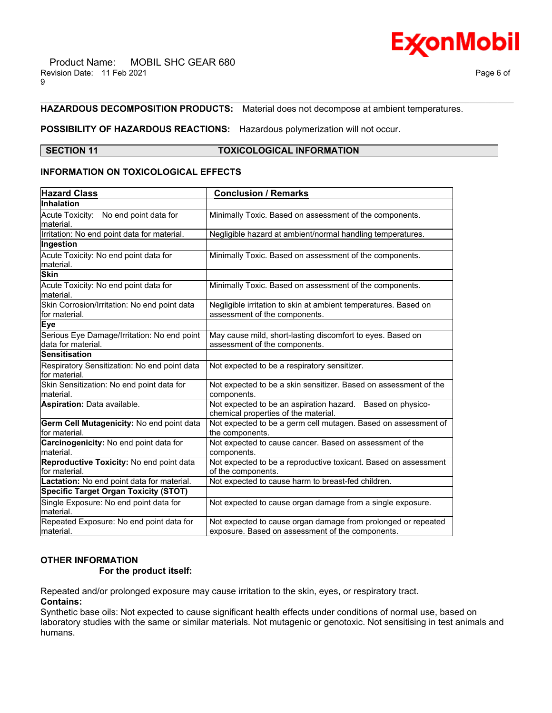# **HAZARDOUS DECOMPOSITION PRODUCTS:** Material does not decompose at ambient temperatures.

# **POSSIBILITY OF HAZARDOUS REACTIONS:** Hazardous polymerization will not occur.

### **SECTION 11 TOXICOLOGICAL INFORMATION**

\_\_\_\_\_\_\_\_\_\_\_\_\_\_\_\_\_\_\_\_\_\_\_\_\_\_\_\_\_\_\_\_\_\_\_\_\_\_\_\_\_\_\_\_\_\_\_\_\_\_\_\_\_\_\_\_\_\_\_\_\_\_\_\_\_\_\_\_\_\_\_\_\_\_\_\_\_\_\_\_\_\_\_\_\_\_\_\_\_\_\_\_\_\_\_\_\_\_\_\_\_\_\_\_\_\_\_\_\_\_\_\_\_\_\_\_\_\_

# **INFORMATION ON TOXICOLOGICAL EFFECTS**

| <b>Hazard Class</b>                                                | <b>Conclusion / Remarks</b>                                                                        |  |  |
|--------------------------------------------------------------------|----------------------------------------------------------------------------------------------------|--|--|
| Inhalation                                                         |                                                                                                    |  |  |
| Acute Toxicity: No end point data for                              | Minimally Toxic. Based on assessment of the components.                                            |  |  |
| lmaterial.                                                         |                                                                                                    |  |  |
| Irritation: No end point data for material.                        | Negligible hazard at ambient/normal handling temperatures.                                         |  |  |
| Ingestion                                                          |                                                                                                    |  |  |
| Acute Toxicity: No end point data for<br>lmaterial.                | Minimally Toxic. Based on assessment of the components.                                            |  |  |
| <b>Skin</b>                                                        |                                                                                                    |  |  |
|                                                                    |                                                                                                    |  |  |
| Acute Toxicity: No end point data for<br>lmaterial.                | Minimally Toxic. Based on assessment of the components.                                            |  |  |
| Skin Corrosion/Irritation: No end point data<br>lfor material.     | Negligible irritation to skin at ambient temperatures. Based on<br>assessment of the components.   |  |  |
| <b>Eye</b>                                                         |                                                                                                    |  |  |
| Serious Eye Damage/Irritation: No end point<br>ldata for material. | May cause mild, short-lasting discomfort to eyes. Based on<br>assessment of the components.        |  |  |
| Sensitisation                                                      |                                                                                                    |  |  |
| Respiratory Sensitization: No end point data                       | Not expected to be a respiratory sensitizer.                                                       |  |  |
| for material.                                                      |                                                                                                    |  |  |
| Skin Sensitization: No end point data for<br>material.             | Not expected to be a skin sensitizer. Based on assessment of the<br>components.                    |  |  |
| <b>Aspiration: Data available.</b>                                 | Not expected to be an aspiration hazard. Based on physico-<br>chemical properties of the material. |  |  |
| Germ Cell Mutagenicity: No end point data<br>for material.         | Not expected to be a germ cell mutagen. Based on assessment of<br>the components.                  |  |  |
| Carcinogenicity: No end point data for<br>material.                | Not expected to cause cancer. Based on assessment of the<br>components.                            |  |  |
| Reproductive Toxicity: No end point data                           | Not expected to be a reproductive toxicant. Based on assessment                                    |  |  |
| lfor material.                                                     | of the components.                                                                                 |  |  |
| Lactation: No end point data for material.                         | Not expected to cause harm to breast-fed children.                                                 |  |  |
| <b>Specific Target Organ Toxicity (STOT)</b>                       |                                                                                                    |  |  |
| Single Exposure: No end point data for<br>lmaterial.               | Not expected to cause organ damage from a single exposure.                                         |  |  |
| Repeated Exposure: No end point data for                           | Not expected to cause organ damage from prolonged or repeated                                      |  |  |
| lmaterial.                                                         | exposure. Based on assessment of the components.                                                   |  |  |

# **OTHER INFORMATION**

# **For the product itself:**

Repeated and/or prolonged exposure may cause irritation to the skin, eyes, or respiratory tract.

**Contains:**

Synthetic base oils: Not expected to cause significant health effects under conditions of normal use, based on laboratory studies with the same or similar materials. Not mutagenic or genotoxic. Not sensitising in test animals and humans.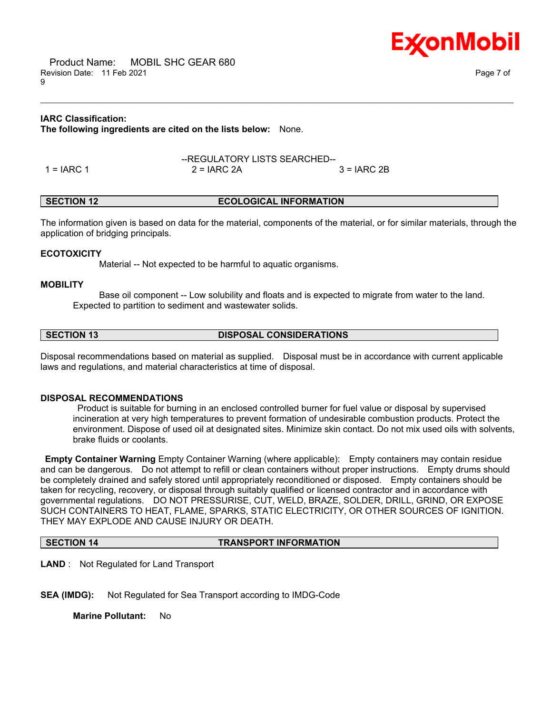

# **IARC Classification:**

**The following ingredients are cited on the lists below:** None.

|            | --REGULATORY LISTS SEARCHED-- |              |  |
|------------|-------------------------------|--------------|--|
| 1 = IARC 1 | $2 = IARC 2A$                 | $3 = IARC2B$ |  |

# **SECTION 12 ECOLOGICAL INFORMATION**

The information given is based on data for the material, components of the material, or for similar materials, through the application of bridging principals.

\_\_\_\_\_\_\_\_\_\_\_\_\_\_\_\_\_\_\_\_\_\_\_\_\_\_\_\_\_\_\_\_\_\_\_\_\_\_\_\_\_\_\_\_\_\_\_\_\_\_\_\_\_\_\_\_\_\_\_\_\_\_\_\_\_\_\_\_\_\_\_\_\_\_\_\_\_\_\_\_\_\_\_\_\_\_\_\_\_\_\_\_\_\_\_\_\_\_\_\_\_\_\_\_\_\_\_\_\_\_\_\_\_\_\_\_\_\_

# **ECOTOXICITY**

Material -- Not expected to be harmful to aquatic organisms.

### **MOBILITY**

 Base oil component -- Low solubility and floats and is expected to migrate from water to the land. Expected to partition to sediment and wastewater solids.

**SECTION 13 DISPOSAL CONSIDERATIONS**

Disposal recommendations based on material as supplied. Disposal must be in accordance with current applicable laws and regulations, and material characteristics at time of disposal.

# **DISPOSAL RECOMMENDATIONS**

 Product is suitable for burning in an enclosed controlled burner for fuel value or disposal by supervised incineration at very high temperatures to prevent formation of undesirable combustion products. Protect the environment. Dispose of used oil at designated sites. Minimize skin contact. Do not mix used oils with solvents, brake fluids or coolants.

**Empty Container Warning** Empty Container Warning (where applicable): Empty containers may contain residue and can be dangerous. Do not attempt to refill or clean containers without proper instructions. Empty drums should be completely drained and safely stored until appropriately reconditioned or disposed. Empty containers should be taken for recycling, recovery, or disposal through suitably qualified or licensed contractor and in accordance with governmental regulations. DO NOT PRESSURISE, CUT, WELD, BRAZE, SOLDER, DRILL, GRIND, OR EXPOSE SUCH CONTAINERS TO HEAT, FLAME, SPARKS, STATIC ELECTRICITY, OR OTHER SOURCES OF IGNITION. THEY MAY EXPLODE AND CAUSE INJURY OR DEATH.

#### **SECTION 14 TRANSPORT INFORMATION**

**LAND** : Not Regulated for Land Transport

**SEA (IMDG):** Not Regulated for Sea Transport according to IMDG-Code

**Marine Pollutant:** No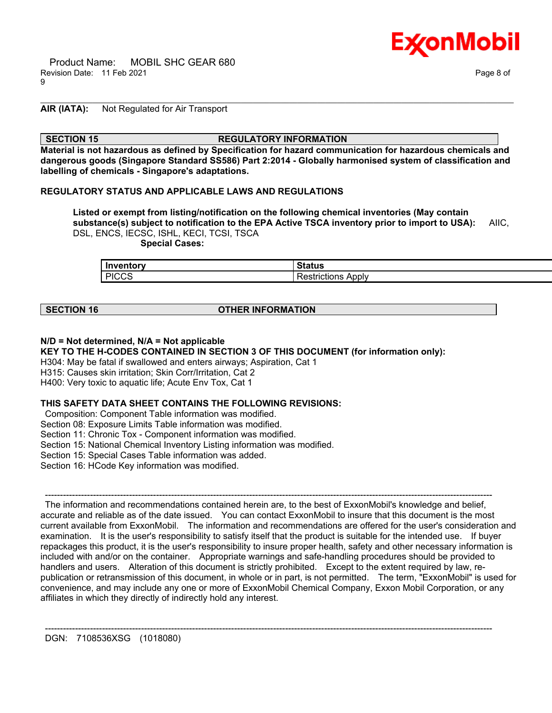

# **AIR (IATA):** Not Regulated for Air Transport

### **SECTION 15 REGULATORY INFORMATION**

**Material is not hazardous as defined by Specification for hazard communication for hazardous chemicals and dangerous goods (Singapore Standard SS586) Part 2:2014 - Globally harmonised system of classification and labelling of chemicals - Singapore's adaptations.**

\_\_\_\_\_\_\_\_\_\_\_\_\_\_\_\_\_\_\_\_\_\_\_\_\_\_\_\_\_\_\_\_\_\_\_\_\_\_\_\_\_\_\_\_\_\_\_\_\_\_\_\_\_\_\_\_\_\_\_\_\_\_\_\_\_\_\_\_\_\_\_\_\_\_\_\_\_\_\_\_\_\_\_\_\_\_\_\_\_\_\_\_\_\_\_\_\_\_\_\_\_\_\_\_\_\_\_\_\_\_\_\_\_\_\_\_\_\_

### **REGULATORY STATUS AND APPLICABLE LAWS AND REGULATIONS**

**Listed or exempt from listing/notification on the following chemical inventories (May contain substance(s) subject to notification to the EPA Active TSCA inventory prior to import to USA):** AIIC, DSL, ENCS, IECSC, ISHL, KECI, TCSI, TSCA  **Special Cases:**

| Inventory       | 24.4<br>วเสเนร                 |
|-----------------|--------------------------------|
| L PICCS.<br>ے ں | Apply<br>---------<br>TICTIONS |

# **SECTION 16 OTHER INFORMATION**

# **N/D = Not determined, N/A = Not applicable**

**KEY TO THE H-CODES CONTAINED IN SECTION 3 OF THIS DOCUMENT (for information only):**

H304: May be fatal if swallowed and enters airways; Aspiration, Cat 1

H315: Causes skin irritation; Skin Corr/Irritation, Cat 2

H400: Very toxic to aquatic life; Acute Env Tox, Cat 1

# **THIS SAFETY DATA SHEET CONTAINS THE FOLLOWING REVISIONS:**

Composition: Component Table information was modified.

Section 08: Exposure Limits Table information was modified.

Section 11: Chronic Tox - Component information was modified.

Section 15: National Chemical Inventory Listing information was modified.

Section 15: Special Cases Table information was added.

Section 16: HCode Key information was modified.

 ----------------------------------------------------------------------------------------------------------------------------------------------------- The information and recommendations contained herein are, to the best of ExxonMobil's knowledge and belief, accurate and reliable as of the date issued. You can contact ExxonMobil to insure that this document is the most current available from ExxonMobil. The information and recommendations are offered for the user's consideration and examination. It is the user's responsibility to satisfy itself that the product is suitable for the intended use. If buyer repackages this product, it is the user's responsibility to insure proper health, safety and other necessary information is included with and/or on the container. Appropriate warnings and safe-handling procedures should be provided to handlers and users. Alteration of this document is strictly prohibited. Except to the extent required by law, republication or retransmission of this document, in whole or in part, is not permitted. The term, "ExxonMobil" is used for convenience, and may include any one or more of ExxonMobil Chemical Company, Exxon Mobil Corporation, or any affiliates in which they directly of indirectly hold any interest.

-----------------------------------------------------------------------------------------------------------------------------------------------------